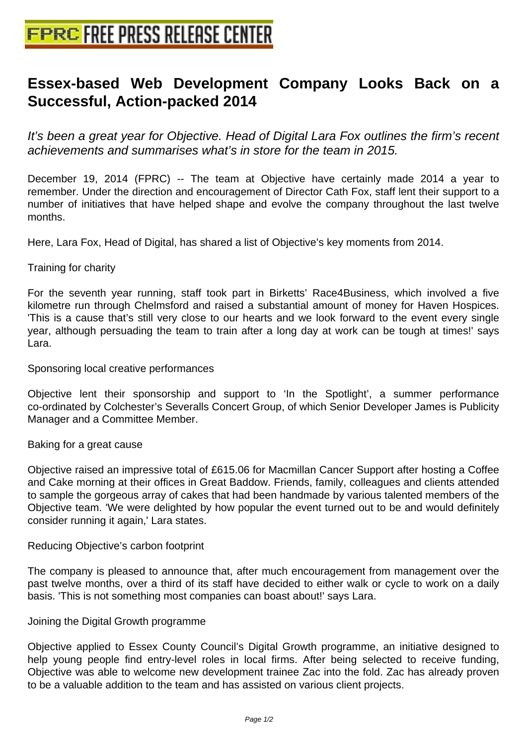## **[Essex-based Web Development](http://www.free-press-release-center.info) Company Looks Back on a Successful, Action-packed 2014**

It's been a great year for Objective. Head of Digital Lara Fox outlines the firm's recent achievements and summarises what's in store for the team in 2015.

December 19, 2014 (FPRC) -- The team at Objective have certainly made 2014 a year to remember. Under the direction and encouragement of Director Cath Fox, staff lent their support to a number of initiatives that have helped shape and evolve the company throughout the last twelve months.

Here, Lara Fox, Head of Digital, has shared a list of Objective's key moments from 2014.

Training for charity

For the seventh year running, staff took part in Birketts' Race4Business, which involved a five kilometre run through Chelmsford and raised a substantial amount of money for Haven Hospices. 'This is a cause that's still very close to our hearts and we look forward to the event every single year, although persuading the team to train after a long day at work can be tough at times!' says Lara.

Sponsoring local creative performances

Objective lent their sponsorship and support to 'In the Spotlight', a summer performance co-ordinated by Colchester's Severalls Concert Group, of which Senior Developer James is Publicity Manager and a Committee Member.

Baking for a great cause

Objective raised an impressive total of £615.06 for Macmillan Cancer Support after hosting a Coffee and Cake morning at their offices in Great Baddow. Friends, family, colleagues and clients attended to sample the gorgeous array of cakes that had been handmade by various talented members of the Objective team. 'We were delighted by how popular the event turned out to be and would definitely consider running it again,' Lara states.

Reducing Objective's carbon footprint

The company is pleased to announce that, after much encouragement from management over the past twelve months, over a third of its staff have decided to either walk or cycle to work on a daily basis. 'This is not something most companies can boast about!' says Lara.

Joining the Digital Growth programme

Objective applied to Essex County Council's Digital Growth programme, an initiative designed to help young people find entry-level roles in local firms. After being selected to receive funding, Objective was able to welcome new development trainee Zac into the fold. Zac has already proven to be a valuable addition to the team and has assisted on various client projects.